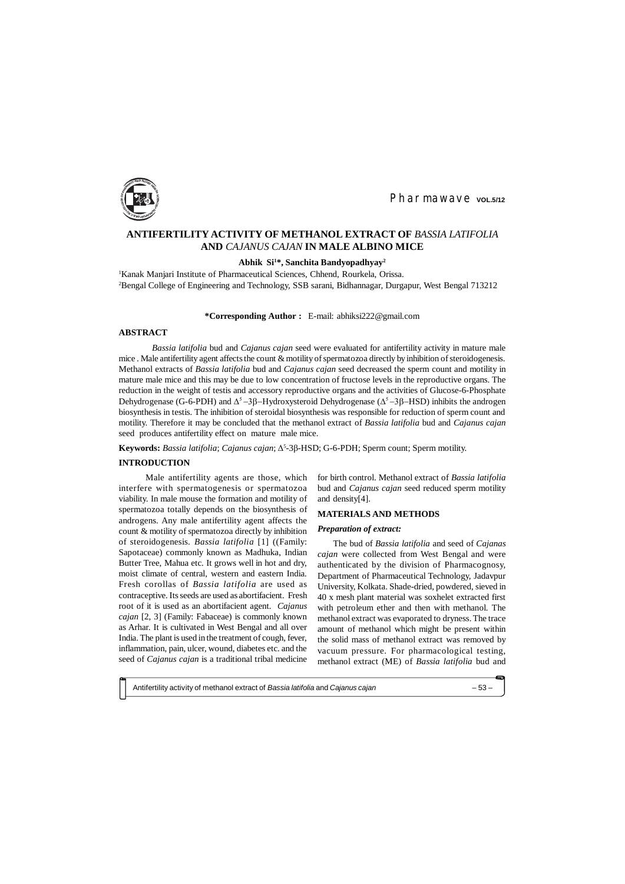Antifertility activity of methanol extract of *Bassia latifolia* and *Cajanus cajan* – 53 –



Pharmawave vol.5/12

Male antifertility agents are those, which interfere with spermatogenesis or spermatozoa viability. In male mouse the formation and motility of spermatozoa totally depends on the biosynthesis of androgens. Any male antifertility agent affects the count & motility of spermatozoa directly by inhibition of steroidogenesis. *Bassia latifolia* [1] ((Family: Sapotaceae) commonly known as Madhuka, Indian Butter Tree, Mahua etc. It grows well in hot and dry, moist climate of central, western and eastern India. Fresh corollas of *Bassia latifolia* are used as contraceptive. Its seeds are used as abortifacient. Fresh root of it is used as an abortifacient agent. *Cajanus cajan* [2, 3] (Family: Fabaceae) is commonly known as Arhar. It is cultivated in West Bengal and all over India. The plant is used in the treatment of cough, fever, inflammation, pain, ulcer, wound, diabetes etc. and the seed of *Cajanus cajan* is a traditional tribal medicine

# **ANTIFERTILITY ACTIVITY OF METHANOL EXTRACT OF** *BASSIA LATIFOLIA* **AND** *CAJANUS CAJAN* **IN MALE ALBINO MICE**

#### **Abhik Si<sup>1</sup>\*, Sanchita Bandyopadhyay<sup>2</sup>**

<sup>1</sup>Kanak Manjari Institute of Pharmaceutical Sciences, Chhend, Rourkela, Orissa. <sup>2</sup>Bengal College of Engineering and Technology, SSB sarani, Bidhannagar, Durgapur, West Bengal 713212

## **\*Corresponding Author :** E-mail: [abhiksi222@gmail.com](mailto:abhiksi222:@gmail.com)

## **ABSTRACT**

*Bassia latifolia* bud and *Cajanus cajan* seed were evaluated for antifertility activity in mature male mice . Male antifertility agent affects the count & motility of spermatozoa directly by inhibition of steroidogenesis. Methanol extracts of *Bassia latifolia* bud and *Cajanus cajan* seed decreased the sperm count and motility in mature male mice and this may be due to low concentration of fructose levels in the reproductive organs. The reduction in the weight of testis and accessory reproductive organs and the activities of Glucose-6-Phosphate Dehydrogenase (G-6-PDH) and  $\Delta^5$ -3 $\beta$ -Hydroxysteroid Dehydrogenase ( $\Delta^5$ -3 $\beta$ -HSD) inhibits the androgen biosynthesis in testis. The inhibition of steroidal biosynthesis was responsible for reduction of sperm count and motility. Therefore it may be concluded that the methanol extract of *Bassia latifolia* bud and *Cajanus cajan* seed produces antifertility effect on mature male mice.

Keywords: Bassia latifolia; Cajanus cajan; Δ<sup>5</sup>-3β-HSD; G-6-PDH; Sperm count; Sperm motility.

#### **INTRODUCTION**

for birth control. Methanol extract of *Bassia latifolia* bud and *Cajanus cajan* seed reduced sperm motility and density[4].

#### **MATERIALS AND METHODS**

#### *Preparation of extract:*

The bud of *Bassia latifolia* and seed of *Cajanas cajan* were collected from West Bengal and were authenticated by the division of Pharmacognosy, Department of Pharmaceutical Technology, Jadavpur University, Kolkata. Shade-dried, powdered, sieved in 40 x mesh plant material was soxhelet extracted first with petroleum ether and then with methanol. The methanol extract was evaporated to dryness. The trace amount of methanol which might be present within the solid mass of methanol extract was removed by vacuum pressure. For pharmacological testing, methanol extract (ME) of *Bassia latifolia* bud and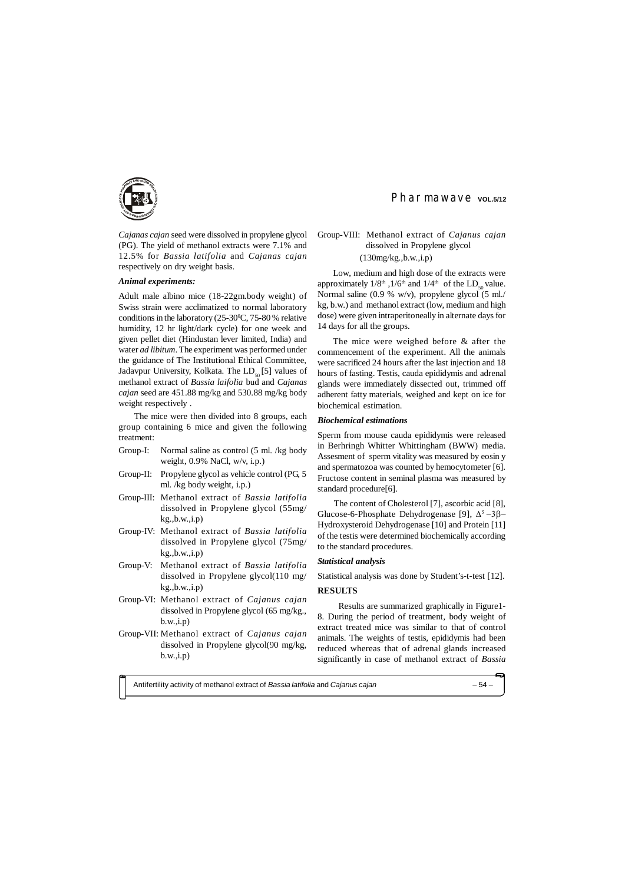Antifertility activity of methanol extract of *Bassia latifolia* and *Cajanus cajan* – 54 –





*Cajanas cajan* seed were dissolved in propylene glycol (PG). The yield of methanol extracts were 7.1% and 12.5% for *Bassia latifolia* and *Cajanas cajan* respectively on dry weight basis.

#### *Animal experiments:*

Adult male albino mice (18-22gm.body weight) of Swiss strain were acclimatized to normal laboratory conditions in the laboratory  $(25-30^{\circ}\text{C}, 75-80^{\circ}\text{e})$  relative humidity, 12 hr light/dark cycle) for one week and given pellet diet (Hindustan lever limited, India) and water *ad libitum*. The experiment was performed under the guidance of The Institutional Ethical Committee, Jadavpur University, Kolkata. The  $LD_{50}$  [5] values of methanol extract of *Bassia laifolia* bud and *Cajanas cajan* seed are 451.88 mg/kg and 530.88 mg/kg body weight respectively .

The mice were then divided into 8 groups, each group containing 6 mice and given the following treatment:

- Group-I: Normal saline as control (5 ml. /kg body weight, 0.9% NaCl, w/v, i.p.)
- Group-II: Propylene glycol as vehicle control (PG, 5 ml. /kg body weight, i.p.)
- Group-III: Methanol extract of *Bassia latifolia* dissolved in Propylene glycol (55mg/ kg.,b.w.,i.p)
- Group-IV: Methanol extract of *Bassia latifolia* dissolved in Propylene glycol (75mg/ kg.,b.w.,i.p)
- Group-V: Methanol extract of *Bassia latifolia* dissolved in Propylene glycol(110 mg/ kg.,b.w.,i.p)
- Group-VI: Methanol extract of *Cajanus cajan* dissolved in Propylene glycol (65 mg/kg., b.w.,i.p)
- Group-VII: Methanol extract of *Cajanus cajan* dissolved in Propylene glycol(90 mg/kg, b.w.,i.p)

# Pharmawave vol.5/12

# Group-VIII: Methanol extract of *Cajanus cajan* dissolved in Propylene glycol

# (130mg/kg.,b.w.,i.p)

Low, medium and high dose of the extracts were approximately  $1/8^{\text{th}}$ ,  $1/6^{\text{th}}$  and  $1/4^{\text{th}}$  of the LD<sub>50</sub> value. Normal saline (0.9 % w/v), propylene glycol (5 ml./ kg, b.w.) and methanol extract (low, medium and high dose) were given intraperitoneally in alternate days for 14 days for all the groups.

The mice were weighed before & after the commencement of the experiment. All the animals were sacrificed 24 hours after the last injection and 18 hours of fasting. Testis, cauda epididymis and adrenal glands were immediately dissected out, trimmed off adherent fatty materials, weighed and kept on ice for biochemical estimation.

## *Biochemical estimations*

Sperm from mouse cauda epididymis were released in Berhringh Whitter Whittingham (BWW) media. Assesment of sperm vitality was measured by eosin y and spermatozoa was counted by hemocytometer [6]. Fructose content in seminal plasma was measured by standard procedure[6].

 The content of Cholesterol [7], ascorbic acid [8], Glucose-6-Phosphate Dehydrogenase [9],  $\Delta^5 - 3\beta$ -+ydroxysteroid Dehydrogenase [10] and Protein [11] of the testis were determined biochemically according to the standard procedures.

# *Statistical analysis*

Statistical analysis was done by Student's-t-test [12].

## **RESULTS**

 Results are summarized graphically in Figure1- 8. During the period of treatment, body weight of extract treated mice was similar to that of control animals. The weights of testis, epididymis had been reduced whereas that of adrenal glands increased significantly in case of methanol extract of *Bassia*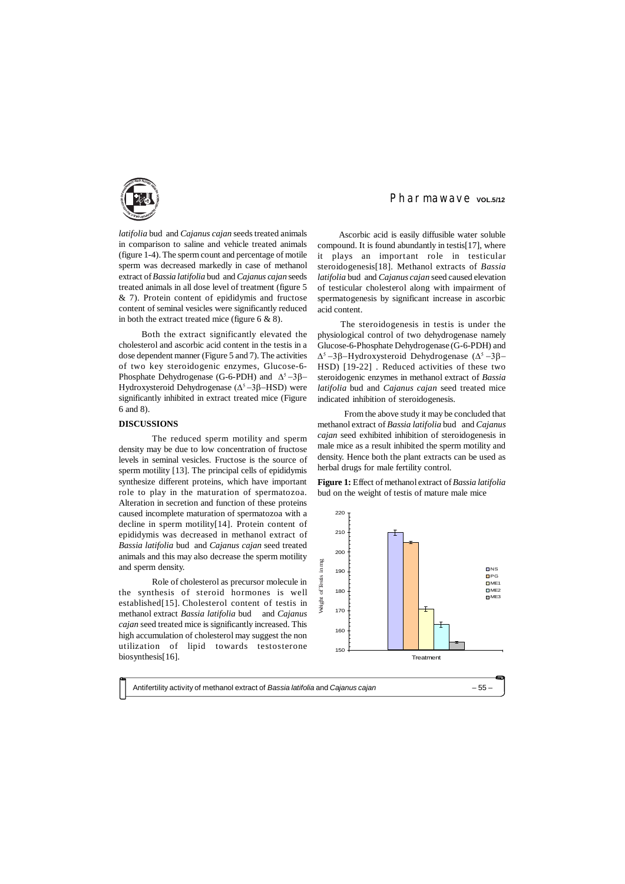Antifertility activity of methanol extract of *Bassia latifolia* and *Cajanus cajan* – 55 –



*latifolia* bud and *Cajanus cajan* seeds treated animals in comparison to saline and vehicle treated animals (figure 1-4). The sperm count and percentage of motile sperm was decreased markedly in case of methanol extract of *Bassia latifolia* bud and *Cajanus cajan* seeds treated animals in all dose level of treatment (figure 5 & 7). Protein content of epididymis and fructose content of seminal vesicles were significantly reduced in both the extract treated mice (figure 6 & 8).

 Both the extract significantly elevated the cholesterol and ascorbic acid content in the testis in a dose dependent manner (Figure 5 and 7). The activities of two key steroidogenic enzymes, Glucose-6- Phosphate Dehydrogenase (G-6-PDH) and  $\Delta^5$ -3 $\beta$ -Hydroxysteroid Dehydrogenase ( $\Delta^5$  –3 $\beta$ –HSD) were significantly inhibited in extract treated mice (Figure 6 and 8).

## **DISCUSSIONS**

The reduced sperm motility and sperm density may be due to low concentration of fructose levels in seminal vesicles. Fructose is the source of sperm motility [13]. The principal cells of epididymis synthesize different proteins, which have important role to play in the maturation of spermatozoa. Alteration in secretion and function of these proteins caused incomplete maturation of spermatozoa with a decline in sperm motility[14]. Protein content of epididymis was decreased in methanol extract of *Bassia latifolia* bud and *Cajanus cajan* seed treated animals and this may also decrease the sperm motility and sperm density.

Role of cholesterol as precursor molecule in the synthesis of steroid hormones is well established[15]. Cholesterol content of testis in methanol extract *Bassia latifolia* bud and *Cajanus cajan* seed treated mice is significantly increased. This high accumulation of cholesterol may suggest the non utilization of lipid towards testosterone biosynthesis[16].

# Pharmawave vol.5/12

 Ascorbic acid is easily diffusible water soluble compound. It is found abundantly in testis[17], where it plays an important role in testicular steroidogenesis[18]. Methanol extracts of *Bassia latifolia* bud and *Cajanus cajan* seed caused elevation of testicular cholesterol along with impairment of spermatogenesis by significant increase in ascorbic acid content.

 The steroidogenesis in testis is under the physiological control of two dehydrogenase namely Glucose-6-Phosphate Dehydrogenase (G-6-PDH) and  $\Delta^5$  -3 $\beta$ -Hydroxysteroid Dehydrogenase ( $\Delta^5$  -3 $\beta$ -HSD) [19-22] . Reduced activities of these two steroidogenic enzymes in methanol extract of *Bassia latifolia* bud and *Cajanus cajan* seed treated mice indicated inhibition of steroidogenesis.

From the above study it may be concluded that methanol extract of *Bassia latifolia* bud and *Cajanus cajan* seed exhibited inhibition of steroidogenesis in male mice as a result inhibited the sperm motility and density. Hence both the plant extracts can be used as herbal drugs for male fertility control.

**Figure 1:** Effect of methanol extract of *Bassia latifolia* bud on the weight of testis of mature male mice

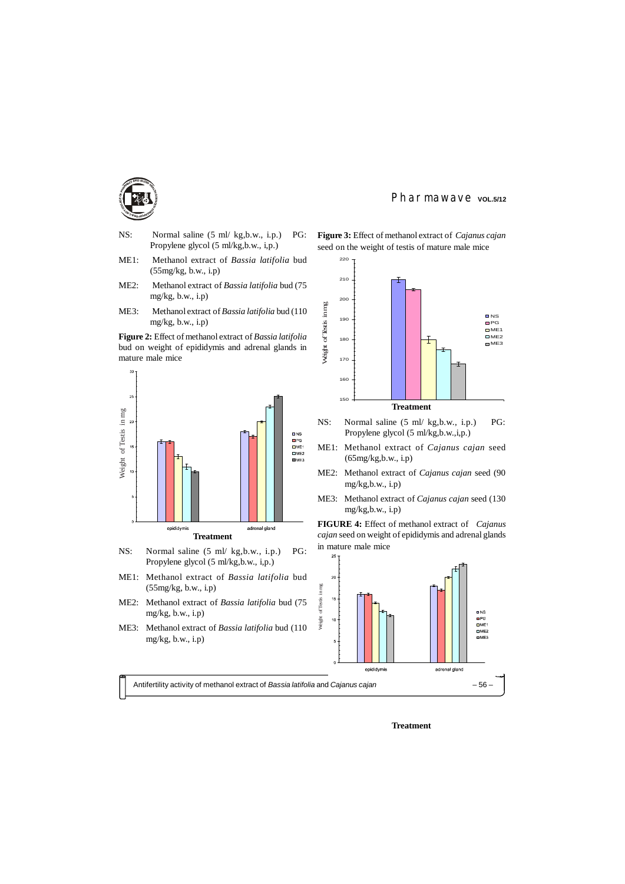



- NS: Normal saline (5 ml/ kg,b.w., i.p.) PG: Propylene glycol (5 ml/kg,b.w., i,p.)
- ME1: Methanol extract of *Bassia latifolia* bud (55mg/kg, b.w., i.p)
- ME2: Methanol extract of *Bassia latifolia* bud (75 mg/kg, b.w., i.p)
- ME3: Methanol extract of *Bassia latifolia* bud (110 mg/kg, b.w., i.p)

**Figure 2:** Effect of methanol extract of *Bassia latifolia* bud on weight of epididymis and adrenal glands in mature male mice



- NS: Normal saline (5 ml/ kg,b.w., i.p.) PG: Propylene glycol (5 ml/kg,b.w., i,p.)
- ME1: Methanol extract of *Bassia latifolia* bud (55mg/kg, b.w., i.p)
- ME2: Methanol extract of *Bassia latifolia* bud (75  $mg/kg, b.w., i.p)$
- ME3: Methanol extract of *Bassia latifolia* bud (110 mg/kg, b.w., i.p)

**Figure 3:** Effect of methanol extract of *Cajanus cajan*

Pharmawave vol.5/12





- NS: Normal saline (5 ml/ kg,b.w., i.p.) PG: Propylene glycol (5 ml/kg,b.w.,i,p.)
- ME1: Methanol extract of *Cajanus cajan* seed (65mg/kg,b.w., i.p)
- ME2: Methanol extract of *Cajanus cajan* seed (90 mg/kg,b.w., i.p)
- ME3: Methanol extract of *Cajanus cajan* seed (130 mg/kg,b.w., i.p)

**FIGURE 4:** Effect of methanol extract of *Cajanus cajan* seed on weight of epididymis and adrenal glands in mature male mice



**Treatment**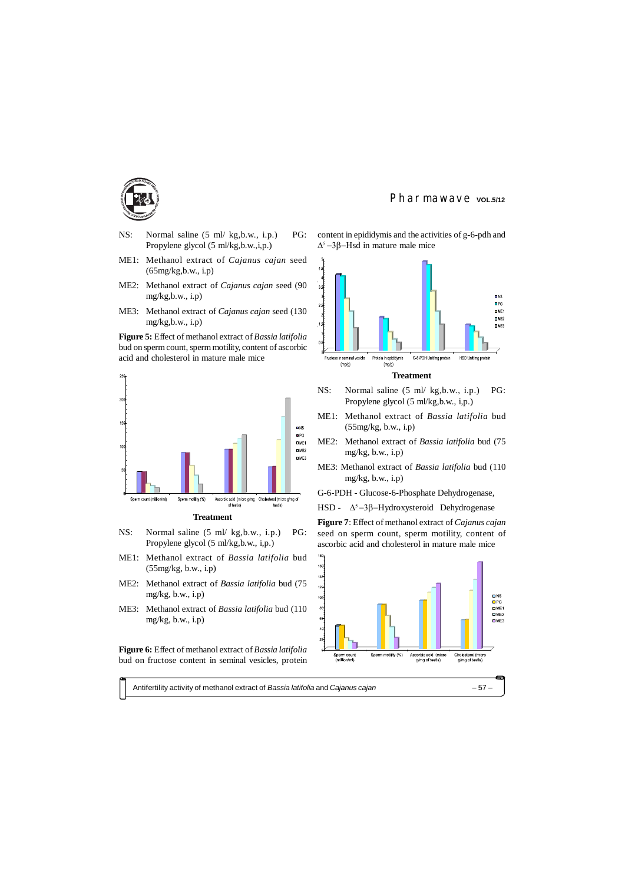Antifertility activity of methanol extract of *Bassia latifolia* and *Cajanus cajan* – 57 –



- NS: Normal saline (5 ml/ kg,b.w., i.p.) PG: Propylene glycol (5 ml/kg,b.w.,i,p.)
- ME1: Methanol extract of *Cajanus cajan* seed (65mg/kg,b.w., i.p)
- ME2: Methanol extract of *Cajanus cajan* seed (90  $mg/kg$ , b.w., i.p)
- ME3: Methanol extract of *Cajanus cajan* seed (130 mg/kg,b.w., i.p)
- **Figure 5:** Effect of methanol extract of *Bassia latifolia* bud on sperm count, sperm motility, content of ascorbic acid and cholesterol in mature male mice



content in epididymis and the activities of g-6-pdh and  $\Delta^5$ -3 $\beta$ -Hsd in mature male mice

- NS: Normal saline (5 ml/ kg,b.w., i.p.) PG: Propylene glycol (5 ml/kg,b.w., i,p.)
- ME1: Methanol extract of *Bassia latifolia* bud (55mg/kg, b.w., i.p)
- ME2: Methanol extract of *Bassia latifolia* bud (75 mg/ $kg$ , b.w., i.p)
- ME3: Methanol extract of *Bassia latifolia* bud (110 mg/ $kg$ , b.w., i.p)
- G-6-PDH Glucose-6-Phosphate Dehydrogenase,
- HSD  $\Delta^5$ -3 $\beta$ -Hydroxysteroid Dehydrogenase

## **Treatment**

- NS: Normal saline (5 ml/ kg,b.w., i.p.) PG: Propylene glycol (5 ml/kg,b.w., i,p.)
- ME1: Methanol extract of *Bassia latifolia* bud (55mg/kg, b.w., i.p)
- ME2: Methanol extract of *Bassia latifolia* bud (75 mg/kg, b.w., i.p)
- ME3: Methanol extract of *Bassia latifolia* bud (110 mg/kg, b.w., i.p)

**Figure 6:** Effect of methanol extract of *Bassia latifolia* bud on fructose content in seminal vesicles, protein

Pharmawave vol.5/12



**Figure 7**: Effect of methanol extract of *Cajanus cajan* seed on sperm count, sperm motility, content of ascorbic acid and cholesterol in mature male mice

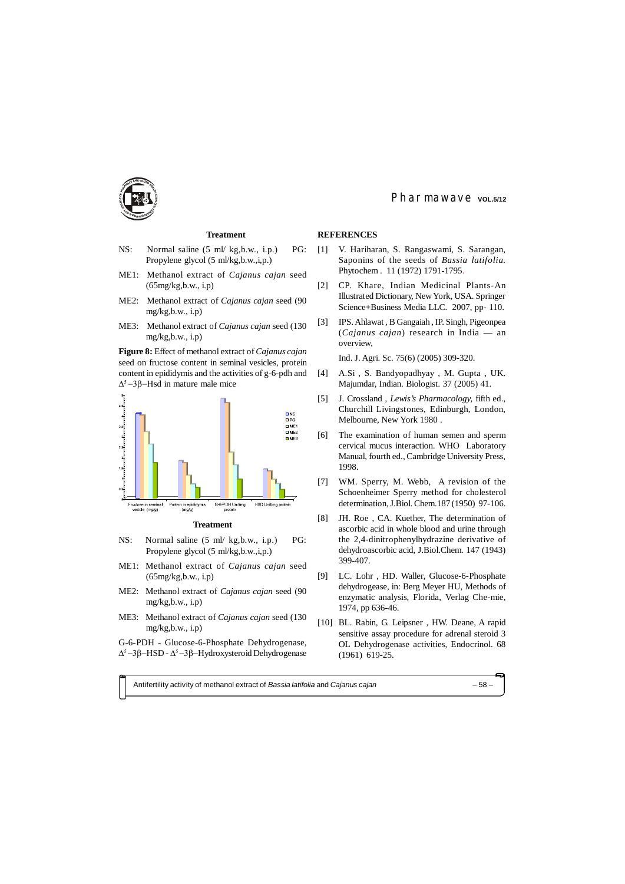Antifertility activity of methanol extract of *Bassia latifolia* and *Cajanus cajan* – 58 –





# **Treatment**

**Figure 8:** Effect of methanol extract of *Cajanus cajan* seed on fructose content in seminal vesicles, protein content in epididymis and the activities of g-6-pdh and  $\Delta^5$  –3 $\beta$ –Hsd in mature male mice



- NS: Normal saline (5 ml/ kg,b.w., i.p.) PG: Propylene glycol (5 ml/kg,b.w.,i,p.)
- ME1: Methanol extract of *Cajanus cajan* seed (65mg/kg,b.w., i.p)
- ME2: Methanol extract of *Cajanus cajan* seed (90 mg/kg,b.w., i.p)
- ME3: Methanol extract of *Cajanus cajan* seed (130 mg/kg,b.w., i.p)

G-6-PDH - Glucose-6-Phosphate Dehydrogenase,  $\Delta^5$  -3 $\beta$ -HSD -  $\Delta^5$  -3 $\beta$ -Hydroxysteroid Dehydrogenase

# Pharmawave vol.5/12

#### **Treatment**

- NS: Normal saline (5 ml/ kg,b.w., i.p.) PG: Propylene glycol (5 ml/kg,b.w.,i,p.)
- ME1: Methanol extract of *Cajanus cajan* seed (65mg/kg,b.w., i.p)
- ME2: Methanol extract of *Cajanus cajan* seed (90 mg/kg,b.w., i.p)
- ME3: Methanol extract of *Cajanus cajan* seed (130 mg/kg,b.w., i.p)

## **REFERENCES**

- [1] V. Hariharan, S. Rangaswami, S. Sarangan, Saponins of the seeds of *Bassia latifolia.* Phytochem . 11 (1972) 1791-1795.
- [2] CP. Khare, Indian Medicinal Plants-An Illustrated Dictionary, New York, USA. Springer Science+Business Media LLC. 2007, pp- 110.
- [3] IPS. Ahlawat , B Gangaiah , IP. Singh, Pigeonpea (*Cajanus cajan*) research in India — an overview,

Ind. J. Agri. Sc*.* 75(6) (2005) 309-320.

- [4] A.Si , S. Bandyopadhyay , M. Gupta , UK. Majumdar, Indian. Biologist*.* 37 (2005) 41.
- [5] J. Crossland , *Lewis's Pharmacology,* fifth ed., Churchill Livingstones, Edinburgh, London, Melbourne, New York 1980 .
- [6] The examination of human semen and sperm cervical mucus interaction. WHO Laboratory Manual, fourth ed., Cambridge University Press, 1998.
- [7] WM. Sperry, M. Webb, A revision of the Schoenheimer Sperry method for cholesterol determination, J.Biol. Chem.187 (1950) 97-106.
- [8] JH. Roe , CA. Kuether, The determination of ascorbic acid in whole blood and urine through the 2,4-dinitrophenylhydrazine derivative of dehydroascorbic acid, J.Biol.Chem*.* 147 (1943) 399-407.
- [9] LC. Lohr , HD. Waller, Glucose-6-Phosphate dehydrogease, in: Berg Meyer HU, Methods of enzymatic analysis, Florida, Verlag Che-mie, 1974, pp 636-46.
- [10] BL. Rabin, G. Leipsner , HW. Deane, A rapid sensitive assay procedure for adrenal steroid 3 OL Dehydrogenase activities, Endocrinol. 68 (1961) 619-25.